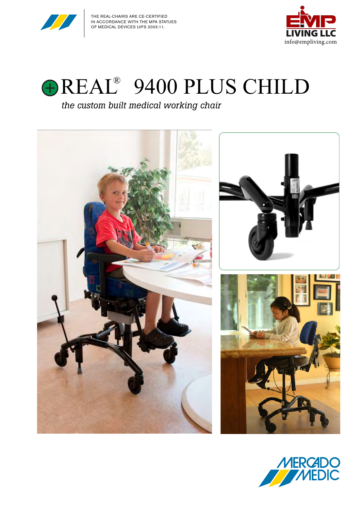





### *the custom built medical working chair*



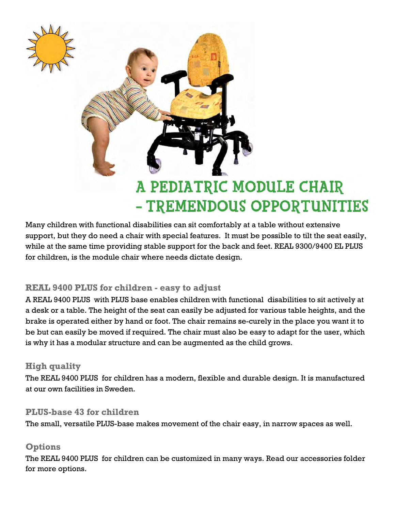

Many children with functional disabilities can sit comfortably at a table without extensive support, but they do need a chair with special features. It must be possible to tilt the seat easily, while at the same time providing stable support for the back and feet. REAL 9300/9400 EL PLUS for children, is the module chair where needs dictate design.

#### **REAL 9400 PLUS for children - easy to adjust**

A REAL 9400 PLUS with PLUS base enables children with functional disabilities to sit actively at a desk or a table. The height of the seat can easily be adjusted for various table heights, and the brake is operated either by hand or foot. The chair remains se-curely in the place you want it to be but can easily be moved if required. The chair must also be easy to adapt for the user, which is why it has a modular structure and can be augmented as the child grows.

#### **High quality**

The REAL 9400 PLUS for children has a modern, flexible and durable design. It is manufactured at our own facilities in Sweden.

#### **PLUS-base 43 for children**

The small, versatile PLUS-base makes movement of the chair easy, in narrow spaces as well.

#### **Options**

The REAL 9400 PLUS for children can be customized in many ways. Read our accessories folder for more options.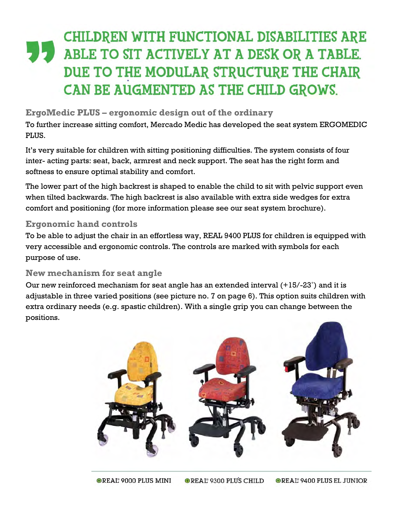## **CHILDREN WITH FUNCTIONAL DISABILITIES ARE** ABLE TO SIT ACTIVELY AT A DESK OR A TABLE. DUE TO THE MODULAR STRUCTURE THE CHAIR CAN BE AUGMENTED AS THE CHILD GROWS.

#### **ErgoMedic PLUS – ergonomic design out of the ordinary**

To further increase sitting comfort, Mercado Medic has developed the seat system ERGOMEDIC PLUS.

It's very suitable for children with sitting positioning difficulties. The system consists of four inter- acting parts: seat, back, armrest and neck support. The seat has the right form and softness to ensure optimal stability and comfort.

The lower part of the high backrest is shaped to enable the child to sit with pelvic support even when tilted backwards. The high backrest is also available with extra side wedges for extra comfort and positioning (for more information please see our seat system brochure).

#### **Ergonomic hand controls**

To be able to adjust the chair in an effortless way, REAL 9400 PLUS for children is equipped with very accessible and ergonomic controls. The controls are marked with symbols for each purpose of use.

#### **New mechanism for seat angle**

Our new reinforced mechanism for seat angle has an extended interval (+15/-23˚) and it is adjustable in three varied positions (see picture no. 7 on page 6). This option suits children with extra ordinary needs (e.g. spastic children). With a single grip you can change between the positions.

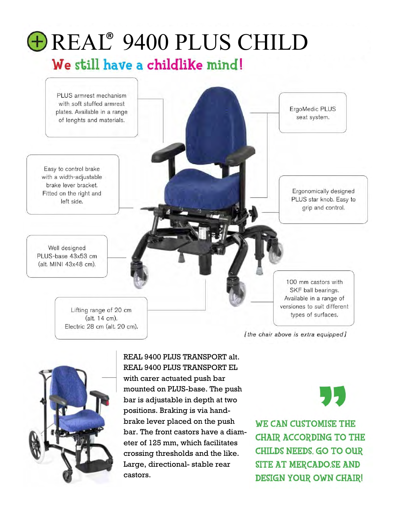

[the chair above is extra equipped]



REAL 9400 PLUS TRANSPORT alt. REAL 9400 PLUS TRANSPORT EL with carer actuated push bar mounted on PLUS-base. The push bar is adjustable in depth at two positions. Braking is via handbrake lever placed on the push bar. The front castors have a diameter of 125 mm, which facilitates crossing thresholds and the like. Large, directional- stable rear castors.

**WE CAN CUSTOMISE THE CHAIR ACCORDING TO THE CHILDS NEEDS, GO TO OUR** SITE AT MERCADO.SE AND **DESIGN YOUR OWN CHAIR!**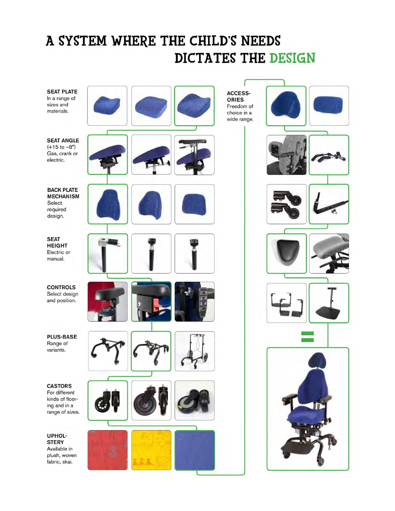## A SYSTEM WHERE THE CHILD'S NEEDS DICTATES THE DESIGN